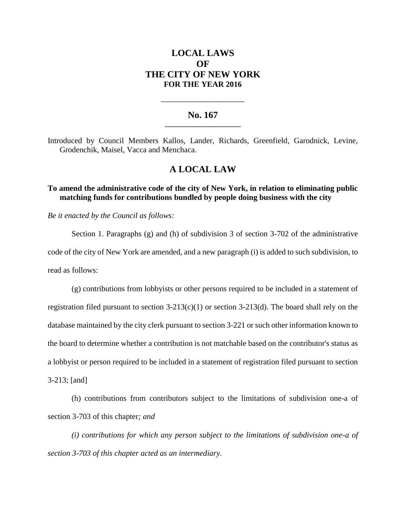# **LOCAL LAWS OF THE CITY OF NEW YORK FOR THE YEAR 2016**

## **No. 167 \_\_\_\_\_\_\_\_\_\_\_\_\_\_\_\_\_\_\_\_\_\_\_**

**\_\_\_\_\_\_\_\_\_\_\_\_\_\_\_\_\_\_\_\_\_\_\_\_\_\_\_\_**

Introduced by Council Members Kallos, Lander, Richards, Greenfield, Garodnick, Levine, Grodenchik, Maisel, Vacca and Menchaca.

## **A LOCAL LAW**

## **To amend the administrative code of the city of New York, in relation to eliminating public matching funds for contributions bundled by people doing business with the city**

*Be it enacted by the Council as follows:*

Section 1. Paragraphs  $(g)$  and (h) of subdivision 3 of section 3-702 of the administrative code of the city of New York are amended, and a new paragraph (i) is added to such subdivision, to read as follows:

(g) contributions from lobbyists or other persons required to be included in a statement of registration filed pursuant to section  $3-213(c)(1)$  or section  $3-213(d)$ . The board shall rely on the database maintained by the city clerk pursuant to section 3-221 or such other information known to the board to determine whether a contribution is not matchable based on the contributor's status as a lobbyist or person required to be included in a statement of registration filed pursuant to section 3-213; [and]

(h) contributions from contributors subject to the limitations of subdivision one-a of section 3-703 of this chapter*; and*

*(i) contributions for which any person subject to the limitations of subdivision one-a of section 3-703 of this chapter acted as an intermediary.*